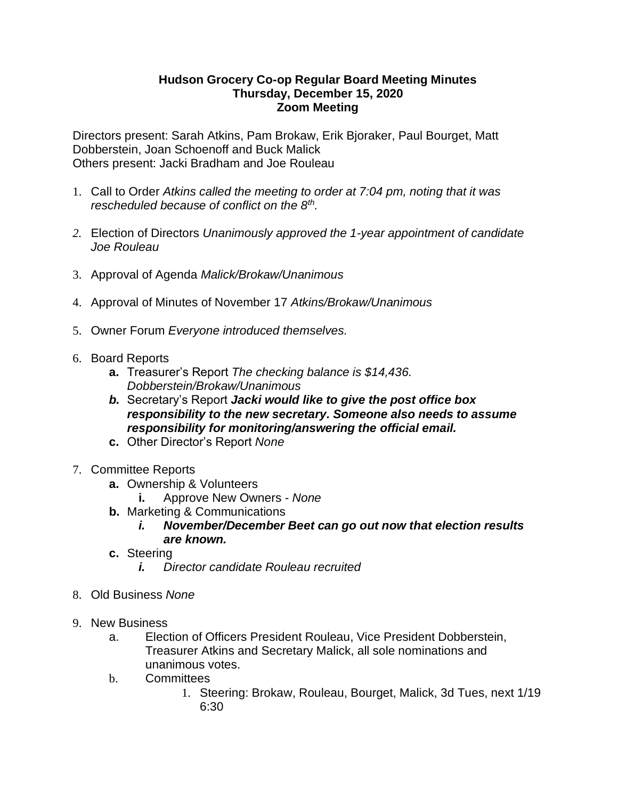## **Hudson Grocery Co-op Regular Board Meeting Minutes Thursday, December 15, 2020 Zoom Meeting**

Directors present: Sarah Atkins, Pam Brokaw, Erik Bjoraker, Paul Bourget, Matt Dobberstein, Joan Schoenoff and Buck Malick Others present: Jacki Bradham and Joe Rouleau

- 1. Call to Order *Atkins called the meeting to order at 7:04 pm, noting that it was rescheduled because of conflict on the 8th .*
- *2.* Election of Directors *Unanimously approved the 1-year appointment of candidate Joe Rouleau*
- 3. Approval of Agenda *Malick/Brokaw/Unanimous*
- 4. Approval of Minutes of November 17 *Atkins/Brokaw/Unanimous*
- 5. Owner Forum *Everyone introduced themselves.*
- 6. Board Reports
	- **a.** Treasurer's Report *The checking balance is \$14,436. Dobberstein/Brokaw/Unanimous*
	- *b.* Secretary's Report *Jacki would like to give the post office box responsibility to the new secretary. Someone also needs to assume responsibility for monitoring/answering the official email.*
	- **c.** Other Director's Report *None*
- 7. Committee Reports
	- **a.** Ownership & Volunteers
		- **i.** Approve New Owners *None*
	- **b.** Marketing & Communications
		- *i. November/December Beet can go out now that election results are known.*
	- **c.** Steering
		- *i. Director candidate Rouleau recruited*
- 8. Old Business *None*
- 9. New Business
	- a. Election of Officers President Rouleau, Vice President Dobberstein, Treasurer Atkins and Secretary Malick, all sole nominations and unanimous votes.
	- b. Committees
		- 1. Steering: Brokaw, Rouleau, Bourget, Malick, 3d Tues, next 1/19 6:30